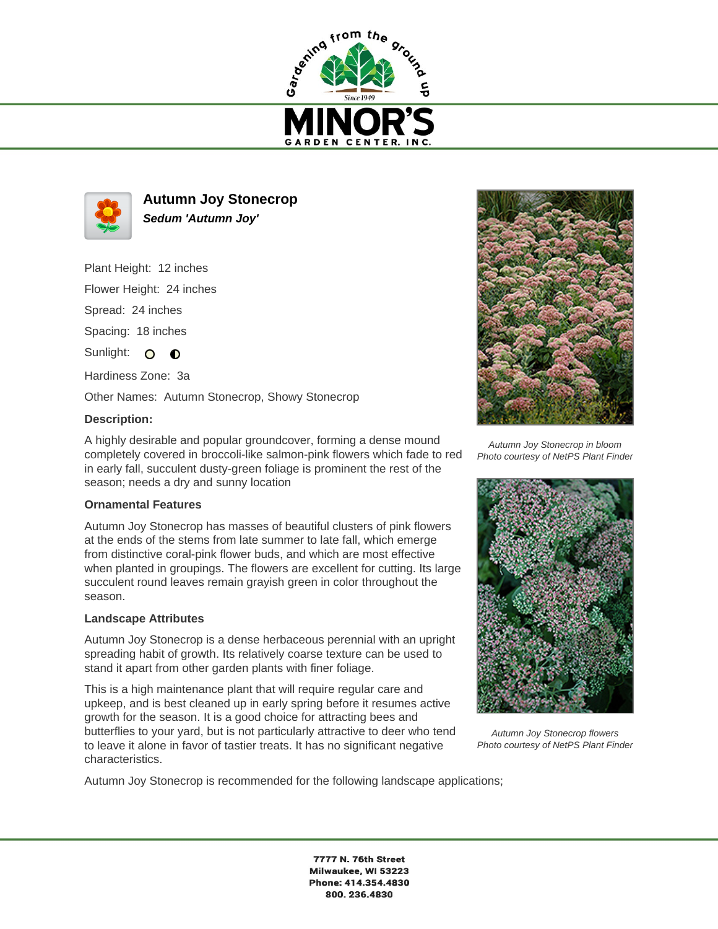



**Autumn Joy Stonecrop Sedum 'Autumn Joy'**

Plant Height: 12 inches

Flower Height: 24 inches

Spread: 24 inches

Spacing: 18 inches

Sunlight: O  $\bullet$ 

Hardiness Zone: 3a

Other Names: Autumn Stonecrop, Showy Stonecrop

## **Description:**

A highly desirable and popular groundcover, forming a dense mound completely covered in broccoli-like salmon-pink flowers which fade to red in early fall, succulent dusty-green foliage is prominent the rest of the season; needs a dry and sunny location

## **Ornamental Features**

Autumn Joy Stonecrop has masses of beautiful clusters of pink flowers at the ends of the stems from late summer to late fall, which emerge from distinctive coral-pink flower buds, and which are most effective when planted in groupings. The flowers are excellent for cutting. Its large succulent round leaves remain grayish green in color throughout the season.

## **Landscape Attributes**

Autumn Joy Stonecrop is a dense herbaceous perennial with an upright spreading habit of growth. Its relatively coarse texture can be used to stand it apart from other garden plants with finer foliage.

This is a high maintenance plant that will require regular care and upkeep, and is best cleaned up in early spring before it resumes active growth for the season. It is a good choice for attracting bees and butterflies to your yard, but is not particularly attractive to deer who tend to leave it alone in favor of tastier treats. It has no significant negative characteristics.

Autumn Joy Stonecrop is recommended for the following landscape applications;



Autumn Joy Stonecrop in bloom Photo courtesy of NetPS Plant Finder



Autumn Joy Stonecrop flowers Photo courtesy of NetPS Plant Finder

7777 N. 76th Street Milwaukee, WI 53223 Phone: 414.354.4830 800.236.4830